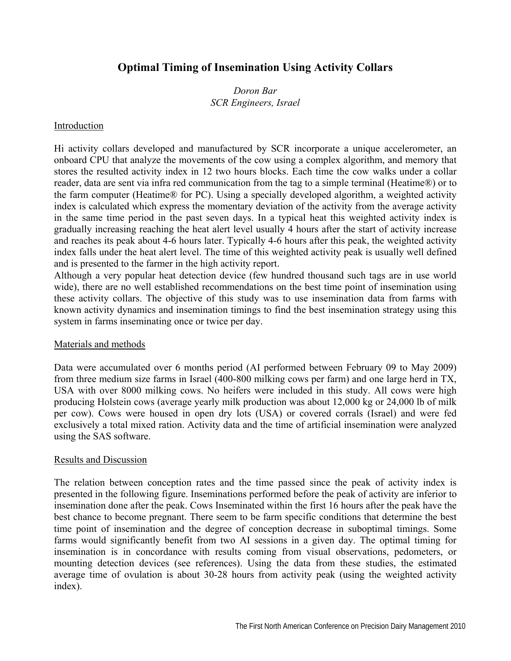# **Optimal Timing of Insemination Using Activity Collars**

## *Doron Bar SCR Engineers, Israel*

### Introduction

Hi activity collars developed and manufactured by SCR incorporate a unique accelerometer, an onboard CPU that analyze the movements of the cow using a complex algorithm, and memory that stores the resulted activity index in 12 two hours blocks. Each time the cow walks under a collar reader, data are sent via infra red communication from the tag to a simple terminal (Heatime®) or to the farm computer (Heatime® for PC). Using a specially developed algorithm, a weighted activity index is calculated which express the momentary deviation of the activity from the average activity in the same time period in the past seven days. In a typical heat this weighted activity index is gradually increasing reaching the heat alert level usually 4 hours after the start of activity increase and reaches its peak about 4-6 hours later. Typically 4-6 hours after this peak, the weighted activity index falls under the heat alert level. The time of this weighted activity peak is usually well defined and is presented to the farmer in the high activity report.

Although a very popular heat detection device (few hundred thousand such tags are in use world wide), there are no well established recommendations on the best time point of insemination using these activity collars. The objective of this study was to use insemination data from farms with known activity dynamics and insemination timings to find the best insemination strategy using this system in farms inseminating once or twice per day.

### Materials and methods

Data were accumulated over 6 months period (AI performed between February 09 to May 2009) from three medium size farms in Israel (400-800 milking cows per farm) and one large herd in TX, USA with over 8000 milking cows. No heifers were included in this study. All cows were high producing Holstein cows (average yearly milk production was about 12,000 kg or 24,000 lb of milk per cow). Cows were housed in open dry lots (USA) or covered corrals (Israel) and were fed exclusively a total mixed ration. Activity data and the time of artificial insemination were analyzed using the SAS software.

### Results and Discussion

The relation between conception rates and the time passed since the peak of activity index is presented in the following figure. Inseminations performed before the peak of activity are inferior to insemination done after the peak. Cows Inseminated within the first 16 hours after the peak have the best chance to become pregnant. There seem to be farm specific conditions that determine the best time point of insemination and the degree of conception decrease in suboptimal timings. Some farms would significantly benefit from two AI sessions in a given day. The optimal timing for insemination is in concordance with results coming from visual observations, pedometers, or mounting detection devices (see references). Using the data from these studies, the estimated average time of ovulation is about 30-28 hours from activity peak (using the weighted activity index).